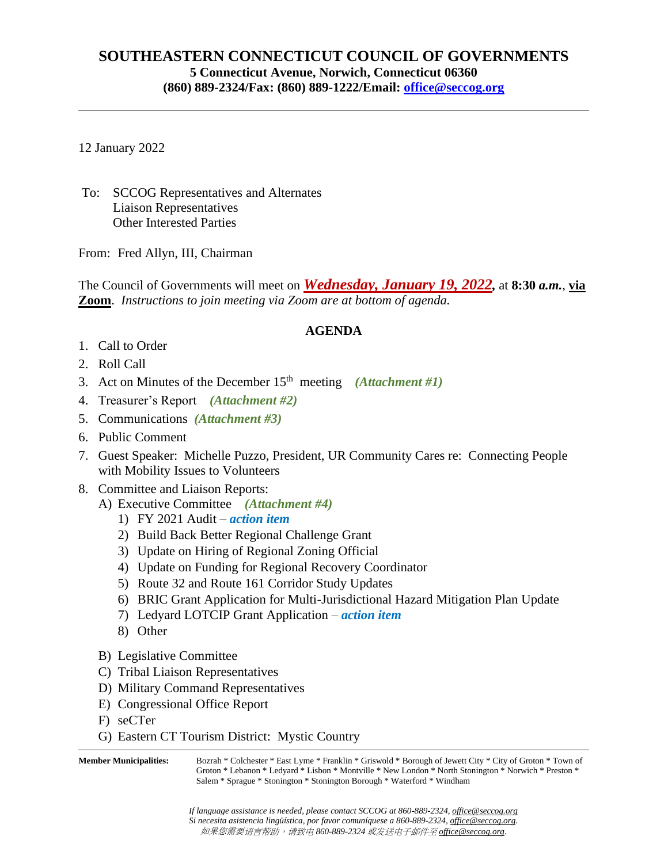## **SOUTHEASTERN CONNECTICUT COUNCIL OF GOVERNMENTS 5 Connecticut Avenue, Norwich, Connecticut 06360 (860) 889-2324/Fax: (860) 889-1222/Email: [office@seccog.org](mailto:seccog@snet.net)**

12 January 2022

To: SCCOG Representatives and Alternates Liaison Representatives Other Interested Parties

From: Fred Allyn, III, Chairman

The Council of Governments will meet on *Wednesday, January 19, 2022,* at **8:30** *a.m.*, **via Zoom**. *Instructions to join meeting via Zoom are at bottom of agenda.*

## **AGENDA**

- 1. Call to Order
- 2. Roll Call
- 3. Act on Minutes of the December 15th meeting *(Attachment #1)*
- 4. Treasurer's Report *(Attachment #2)*
- 5. Communications *(Attachment #3)*
- 6. Public Comment
- 7. Guest Speaker: Michelle Puzzo, President, UR Community Cares re: Connecting People with Mobility Issues to Volunteers
- 8. Committee and Liaison Reports:
	- A) Executive Committee *(Attachment #4)*
		- 1) FY 2021 Audit *action item*
		- 2) Build Back Better Regional Challenge Grant
		- 3) Update on Hiring of Regional Zoning Official
		- 4) Update on Funding for Regional Recovery Coordinator
		- 5) Route 32 and Route 161 Corridor Study Updates
		- 6) BRIC Grant Application for Multi-Jurisdictional Hazard Mitigation Plan Update
		- 7) Ledyard LOTCIP Grant Application *action item*
		- 8) Other
	- B) Legislative Committee
	- C) Tribal Liaison Representatives
	- D) Military Command Representatives
	- E) Congressional Office Report
	- F) seCTer
	- G) Eastern CT Tourism District: Mystic Country

**Member Municipalities:** Bozrah \* Colchester \* East Lyme \* Franklin \* Griswold \* Borough of Jewett City \* City of Groton \* Town of Groton \* Lebanon \* Ledyard \* Lisbon \* Montville \* New London \* North Stonington \* Norwich \* Preston \* Salem \* Sprague \* Stonington \* Stonington Borough \* Waterford \* Windham

> *If language assistance is needed, please contact SCCOG at 860-889-2324, [office@seccog.org](mailto:office@seccog.org) Si necesita asistencia lingüística, por favor comuníquese a 860-889-2324, [office@seccog.org.](mailto:office@seccog.org)* 如果您需要语言帮助,请致电 *860-889-2324* 或[发送电子邮件至](mailto:请致电860-889-2324或发送电子邮件至office@seccog.org) *[office@seccog.org.](mailto:请致电860-889-2324或发送电子邮件至office@seccog.org)*